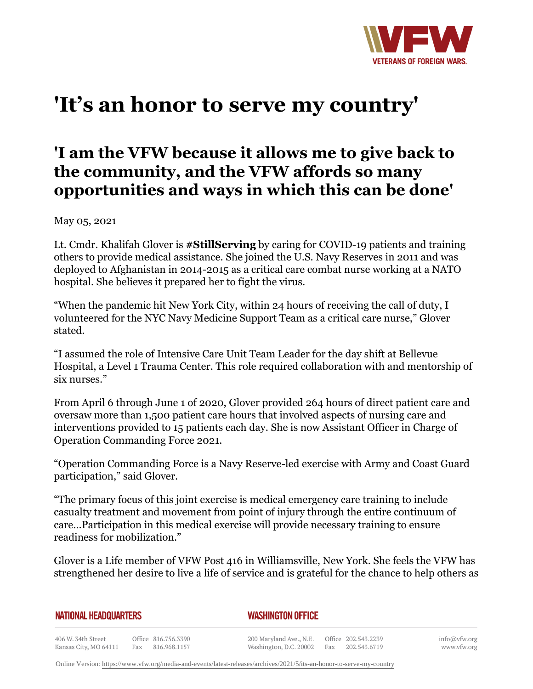

## **'It's an honor to serve my country'**

## **'I am the VFW because it allows me to give back to the community, and the VFW affords so many opportunities and ways in which this can be done'**

May 05, 2021

Lt. Cmdr. Khalifah Glover is **#StillServing** by caring for COVID-19 patients and training others to provide medical assistance. She joined the U.S. Navy Reserves in 2011 and was deployed to Afghanistan in 2014-2015 as a critical care combat nurse working at a NATO hospital. She believes it prepared her to fight the virus.

"When the pandemic hit New York City, within 24 hours of receiving the call of duty, I volunteered for the NYC Navy Medicine Support Team as a critical care nurse," Glover stated.

"I assumed the role of Intensive Care Unit Team Leader for the day shift at Bellevue Hospital, a Level 1 Trauma Center. This role required collaboration with and mentorship of six nurses."

From April 6 through June 1 of 2020, Glover provided 264 hours of direct patient care and oversaw more than 1,500 patient care hours that involved aspects of nursing care and interventions provided to 15 patients each day. She is now Assistant Officer in Charge of Operation Commanding Force 2021.

"Operation Commanding Force is a Navy Reserve-led exercise with Army and Coast Guard participation," said Glover.

"The primary focus of this joint exercise is medical emergency care training to include casualty treatment and movement from point of injury through the entire continuum of care…Participation in this medical exercise will provide necessary training to ensure readiness for mobilization."

Glover is a Life member of VFW Post 416 in Williamsville, New York. She feels the VFW has strengthened her desire to live a life of service and is grateful for the chance to help others as

**NATIONAL HEADQUARTERS** 

*WASHINGTON OFFICE* 

406 W. 34th Street Office 816.756.3390 Fax 816.968.1157 Kansas City, MO 64111

200 Maryland Ave., N.E. Washington, D.C. 20002

Office 202.543.2239 Fax 202.543.6719 info@vfw.org www.vfw.org

Online Version:<https://www.vfw.org/media-and-events/latest-releases/archives/2021/5/its-an-honor-to-serve-my-country>